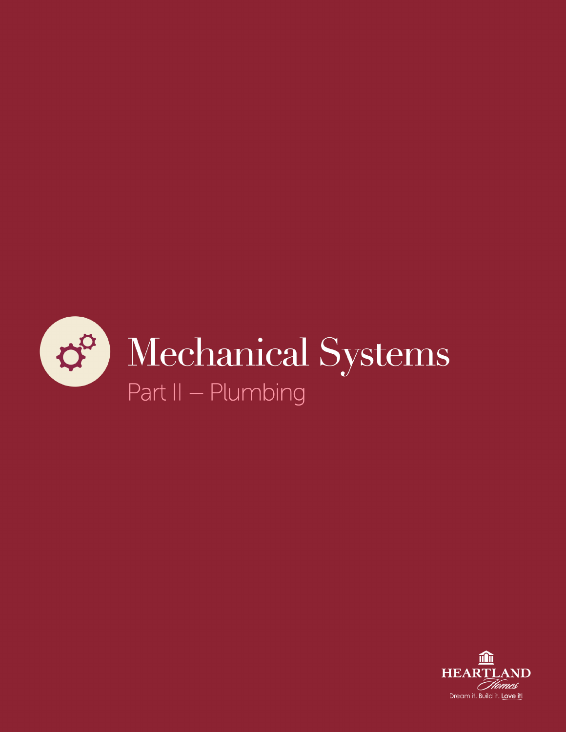

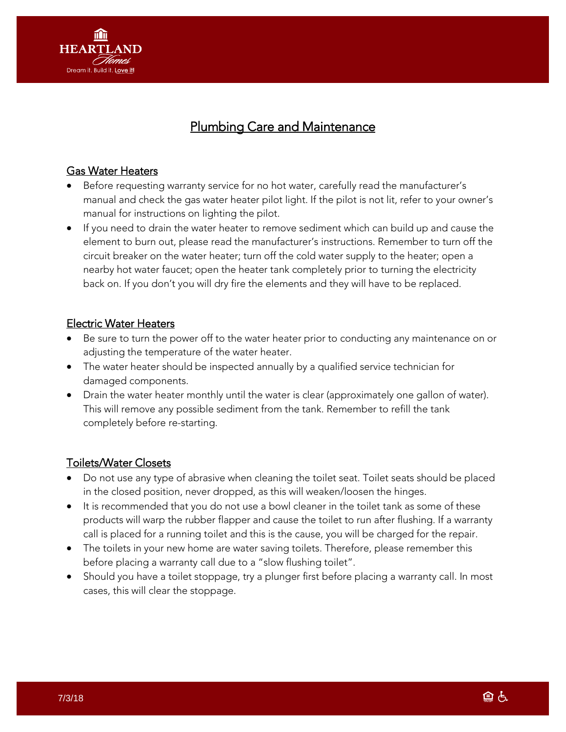

# Plumbing Care and Maintenance

#### Gas Water Heaters

- Before requesting warranty service for no hot water, carefully read the manufacturer's manual and check the gas water heater pilot light. If the pilot is not lit, refer to your owner's manual for instructions on lighting the pilot.
- If you need to drain the water heater to remove sediment which can build up and cause the element to burn out, please read the manufacturer's instructions. Remember to turn off the circuit breaker on the water heater; turn off the cold water supply to the heater; open a nearby hot water faucet; open the heater tank completely prior to turning the electricity back on. If you don't you will dry fire the elements and they will have to be replaced.

#### Electric Water Heaters

- Be sure to turn the power off to the water heater prior to conducting any maintenance on or adjusting the temperature of the water heater.
- The water heater should be inspected annually by a qualified service technician for damaged components.
- Drain the water heater monthly until the water is clear (approximately one gallon of water). This will remove any possible sediment from the tank. Remember to refill the tank completely before re-starting.

#### Toilets/Water Closets

- Do not use any type of abrasive when cleaning the toilet seat. Toilet seats should be placed in the closed position, never dropped, as this will weaken/loosen the hinges.
- It is recommended that you do not use a bowl cleaner in the toilet tank as some of these products will warp the rubber flapper and cause the toilet to run after flushing. If a warranty call is placed for a running toilet and this is the cause, you will be charged for the repair.
- The toilets in your new home are water saving toilets. Therefore, please remember this before placing a warranty call due to a "slow flushing toilet".
- Should you have a toilet stoppage, try a plunger first before placing a warranty call. In most cases, this will clear the stoppage.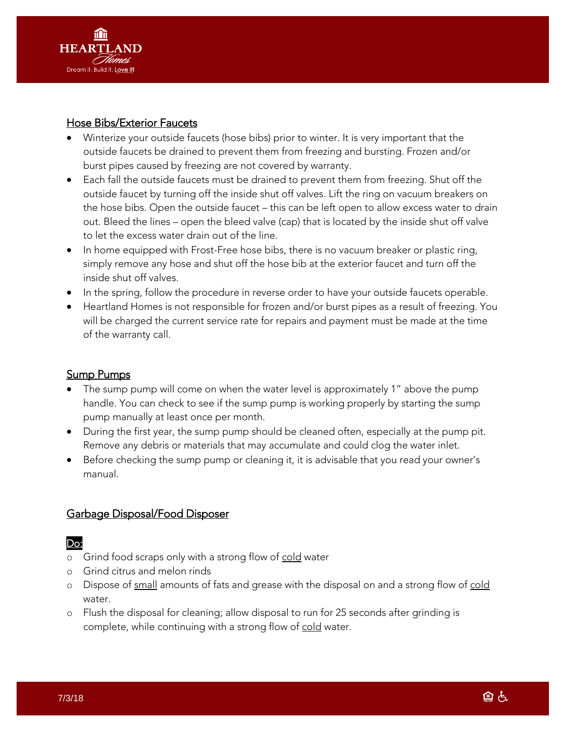

#### Hose Bibs/Exterior Faucets

- Winterize your outside faucets (hose bibs) prior to winter. It is very important that the outside faucets be drained to prevent them from freezing and bursting. Frozen and/or burst pipes caused by freezing are not covered by warranty.
- Each fall the outside faucets must be drained to prevent them from freezing. Shut off the outside faucet by turning off the inside shut off valves. Lift the ring on vacuum breakers on the hose bibs. Open the outside faucet – this can be left open to allow excess water to drain out. Bleed the lines – open the bleed valve (cap) that is located by the inside shut off valve to let the excess water drain out of the line.
- In home equipped with Frost-Free hose bibs, there is no vacuum breaker or plastic ring, simply remove any hose and shut off the hose bib at the exterior faucet and turn off the inside shut off valves.
- In the spring, follow the procedure in reverse order to have your outside faucets operable.
- Heartland Homes is not responsible for frozen and/or burst pipes as a result of freezing. You will be charged the current service rate for repairs and payment must be made at the time of the warranty call.

## Sump Pumps

- The sump pump will come on when the water level is approximately 1" above the pump handle. You can check to see if the sump pump is working properly by starting the sump pump manually at least once per month.
- During the first year, the sump pump should be cleaned often, especially at the pump pit. Remove any debris or materials that may accumulate and could clog the water inlet.
- Before checking the sump pump or cleaning it, it is advisable that you read your owner's manual.

## Garbage Disposal/Food Disposer

## Do:

- o Grind food scraps only with a strong flow of cold water
- o Grind citrus and melon rinds
- o Dispose of small amounts of fats and grease with the disposal on and a strong flow of cold water.
- o Flush the disposal for cleaning; allow disposal to run for 25 seconds after grinding is complete, while continuing with a strong flow of cold water.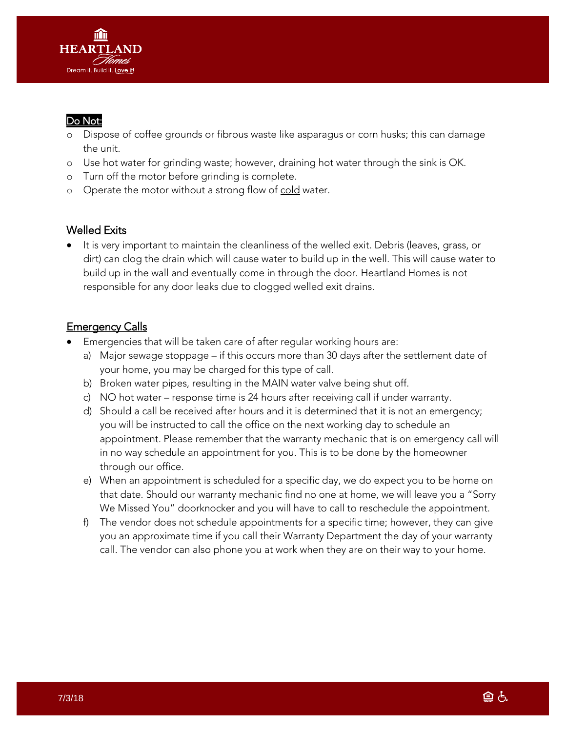

## Do Not:

- Dispose of coffee grounds or fibrous waste like asparagus or corn husks; this can damage the unit.
- o Use hot water for grinding waste; however, draining hot water through the sink is OK.
- o Turn off the motor before grinding is complete.
- o Operate the motor without a strong flow of cold water.

## Welled Exits

 It is very important to maintain the cleanliness of the welled exit. Debris (leaves, grass, or dirt) can clog the drain which will cause water to build up in the well. This will cause water to build up in the wall and eventually come in through the door. Heartland Homes is not responsible for any door leaks due to clogged welled exit drains.

## **Emergency Calls**

- Emergencies that will be taken care of after regular working hours are:
	- a) Major sewage stoppage if this occurs more than 30 days after the settlement date of your home, you may be charged for this type of call.
	- b) Broken water pipes, resulting in the MAIN water valve being shut off.
	- c) NO hot water response time is 24 hours after receiving call if under warranty.
	- d) Should a call be received after hours and it is determined that it is not an emergency; you will be instructed to call the office on the next working day to schedule an appointment. Please remember that the warranty mechanic that is on emergency call will in no way schedule an appointment for you. This is to be done by the homeowner through our office.
	- e) When an appointment is scheduled for a specific day, we do expect you to be home on that date. Should our warranty mechanic find no one at home, we will leave you a "Sorry We Missed You" doorknocker and you will have to call to reschedule the appointment.
	- f) The vendor does not schedule appointments for a specific time; however, they can give you an approximate time if you call their Warranty Department the day of your warranty call. The vendor can also phone you at work when they are on their way to your home.